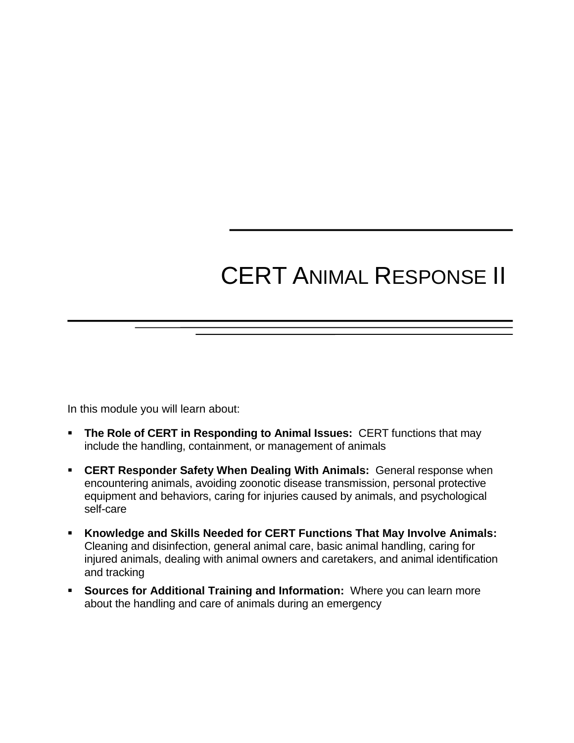# CERT ANIMAL RESPONSE II

In this module you will learn about:

- **The Role of CERT in Responding to Animal Issues:** CERT functions that may include the handling, containment, or management of animals
- **CERT Responder Safety When Dealing With Animals:** General response when encountering animals, avoiding zoonotic disease transmission, personal protective equipment and behaviors, caring for injuries caused by animals, and psychological self-care
- **Knowledge and Skills Needed for CERT Functions That May Involve Animals:**  Cleaning and disinfection, general animal care, basic animal handling, caring for injured animals, dealing with animal owners and caretakers, and animal identification and tracking
- **Sources for Additional Training and Information:** Where you can learn more about the handling and care of animals during an emergency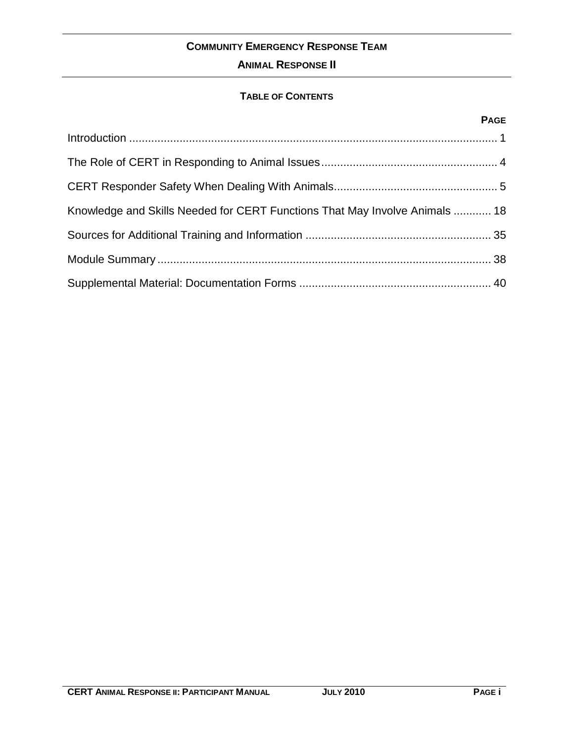### **ANIMAL RESPONSE II**

#### **TABLE OF CONTENTS**

#### **PAGE**

| Knowledge and Skills Needed for CERT Functions That May Involve Animals  18 |  |
|-----------------------------------------------------------------------------|--|
|                                                                             |  |
|                                                                             |  |
|                                                                             |  |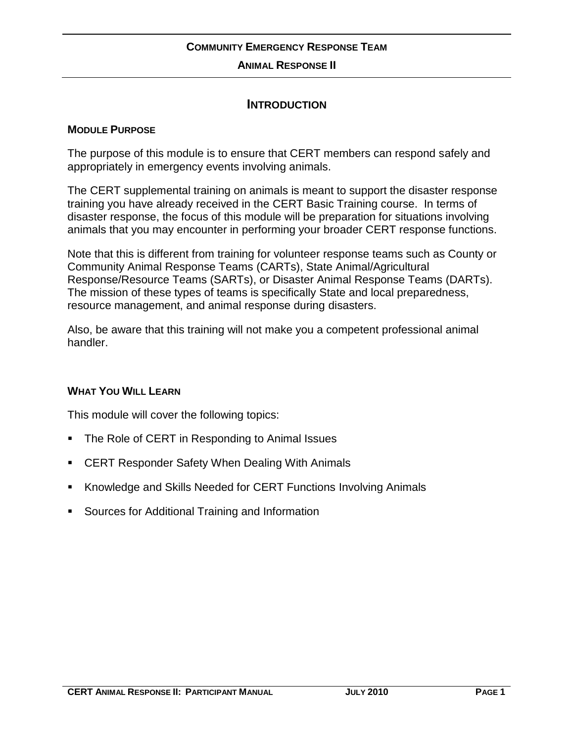#### **ANIMAL RESPONSE II**

#### **INTRODUCTION**

#### **MODULE PURPOSE**

The purpose of this module is to ensure that CERT members can respond safely and appropriately in emergency events involving animals.

The CERT supplemental training on animals is meant to support the disaster response training you have already received in the CERT Basic Training course. In terms of disaster response, the focus of this module will be preparation for situations involving animals that you may encounter in performing your broader CERT response functions.

Note that this is different from training for volunteer response teams such as County or Community Animal Response Teams (CARTs), State Animal/Agricultural Response/Resource Teams (SARTs), or Disaster Animal Response Teams (DARTs). The mission of these types of teams is specifically State and local preparedness, resource management, and animal response during disasters.

Also, be aware that this training will not make you a competent professional animal handler.

#### **WHAT YOU WILL LEARN**

This module will cover the following topics:

- The Role of CERT in Responding to Animal Issues
- CERT Responder Safety When Dealing With Animals
- Knowledge and Skills Needed for CERT Functions Involving Animals
- **Sources for Additional Training and Information**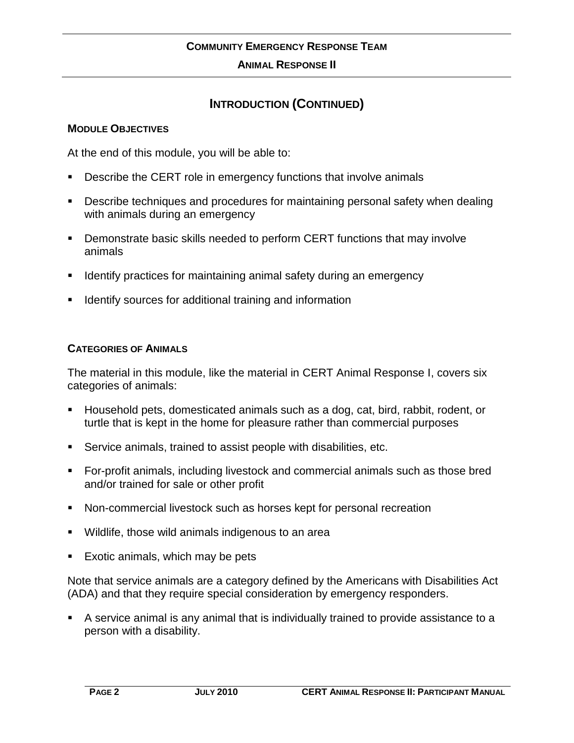#### **ANIMAL RESPONSE II**

### **INTRODUCTION (CONTINUED)**

#### **MODULE OBJECTIVES**

At the end of this module, you will be able to:

- **Describe the CERT role in emergency functions that involve animals**
- Describe techniques and procedures for maintaining personal safety when dealing with animals during an emergency
- **•** Demonstrate basic skills needed to perform CERT functions that may involve animals
- **I** Identify practices for maintaining animal safety during an emergency
- Identify sources for additional training and information

#### **CATEGORIES OF ANIMALS**

The material in this module, like the material in CERT Animal Response I, covers six categories of animals:

- Household pets, domesticated animals such as a dog, cat, bird, rabbit, rodent, or turtle that is kept in the home for pleasure rather than commercial purposes
- Service animals, trained to assist people with disabilities, etc.
- For-profit animals, including livestock and commercial animals such as those bred and/or trained for sale or other profit
- Non-commercial livestock such as horses kept for personal recreation
- Wildlife, those wild animals indigenous to an area
- Exotic animals, which may be pets

Note that service animals are a category defined by the Americans with Disabilities Act (ADA) and that they require special consideration by emergency responders.

 A service animal is any animal that is individually trained to provide assistance to a person with a disability.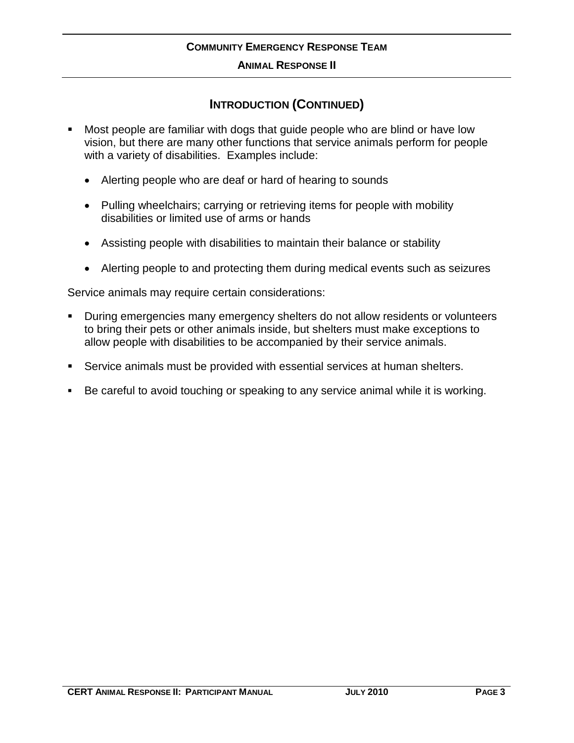#### **ANIMAL RESPONSE II**

### **INTRODUCTION (CONTINUED)**

- Most people are familiar with dogs that guide people who are blind or have low vision, but there are many other functions that service animals perform for people with a variety of disabilities. Examples include:
	- Alerting people who are deaf or hard of hearing to sounds
	- Pulling wheelchairs; carrying or retrieving items for people with mobility disabilities or limited use of arms or hands
	- Assisting people with disabilities to maintain their balance or stability
	- Alerting people to and protecting them during medical events such as seizures

Service animals may require certain considerations:

- During emergencies many emergency shelters do not allow residents or volunteers to bring their pets or other animals inside, but shelters must make exceptions to allow people with disabilities to be accompanied by their service animals.
- Service animals must be provided with essential services at human shelters.
- Be careful to avoid touching or speaking to any service animal while it is working.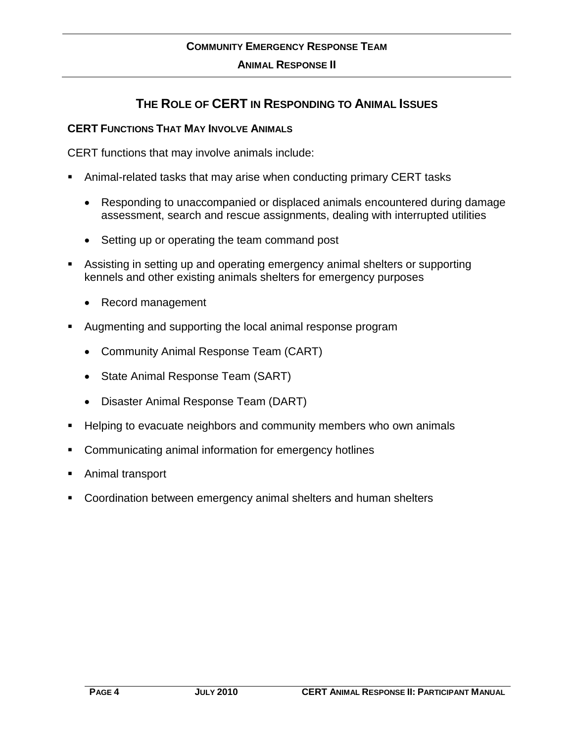### **THE ROLE OF CERT IN RESPONDING TO ANIMAL ISSUES**

#### **CERT FUNCTIONS THAT MAY INVOLVE ANIMALS**

CERT functions that may involve animals include:

- Animal-related tasks that may arise when conducting primary CERT tasks
	- Responding to unaccompanied or displaced animals encountered during damage assessment, search and rescue assignments, dealing with interrupted utilities
	- Setting up or operating the team command post
- Assisting in setting up and operating emergency animal shelters or supporting kennels and other existing animals shelters for emergency purposes
	- Record management
- Augmenting and supporting the local animal response program
	- Community Animal Response Team (CART)
	- State Animal Response Team (SART)
	- Disaster Animal Response Team (DART)
- Helping to evacuate neighbors and community members who own animals
- Communicating animal information for emergency hotlines
- Animal transport
- Coordination between emergency animal shelters and human shelters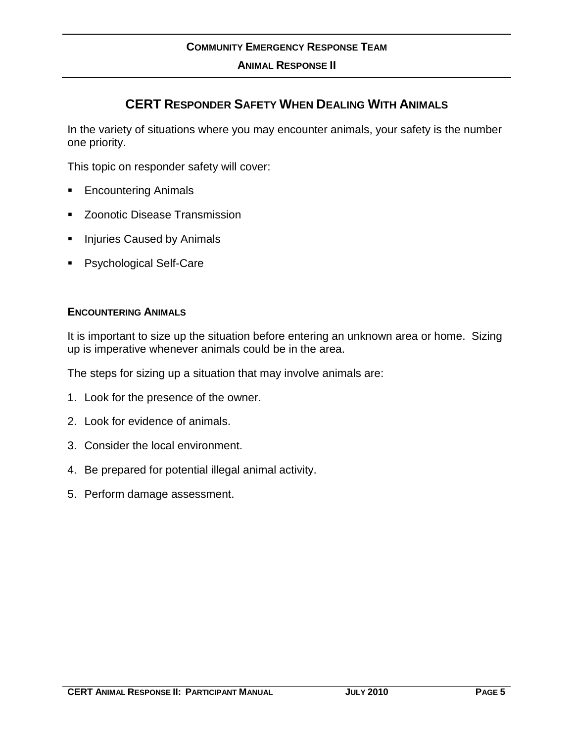### **CERT RESPONDER SAFETY WHEN DEALING WITH ANIMALS**

In the variety of situations where you may encounter animals, your safety is the number one priority.

This topic on responder safety will cover:

- Encountering Animals
- Zoonotic Disease Transmission
- **Injuries Caused by Animals**
- **Psychological Self-Care**

#### **ENCOUNTERING ANIMALS**

It is important to size up the situation before entering an unknown area or home. Sizing up is imperative whenever animals could be in the area.

The steps for sizing up a situation that may involve animals are:

- 1. Look for the presence of the owner.
- 2. Look for evidence of animals.
- 3. Consider the local environment.
- 4. Be prepared for potential illegal animal activity.
- 5. Perform damage assessment.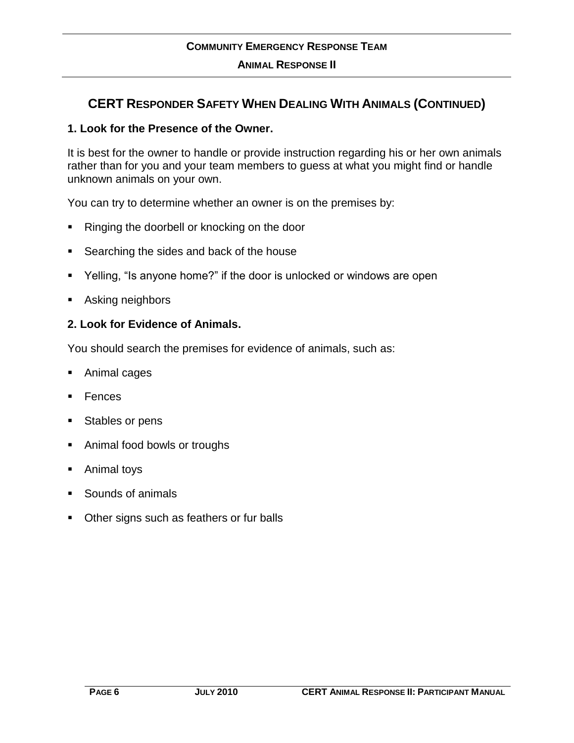### **CERT RESPONDER SAFETY WHEN DEALING WITH ANIMALS (CONTINUED)**

#### **1. Look for the Presence of the Owner.**

It is best for the owner to handle or provide instruction regarding his or her own animals rather than for you and your team members to guess at what you might find or handle unknown animals on your own.

You can try to determine whether an owner is on the premises by:

- Ringing the doorbell or knocking on the door
- Searching the sides and back of the house
- Yelling, "Is anyone home?" if the door is unlocked or windows are open
- Asking neighbors

#### **2. Look for Evidence of Animals.**

You should search the premises for evidence of animals, such as:

- Animal cages
- Fences
- Stables or pens
- **Animal food bowls or troughs**
- Animal toys
- Sounds of animals
- Other signs such as feathers or fur balls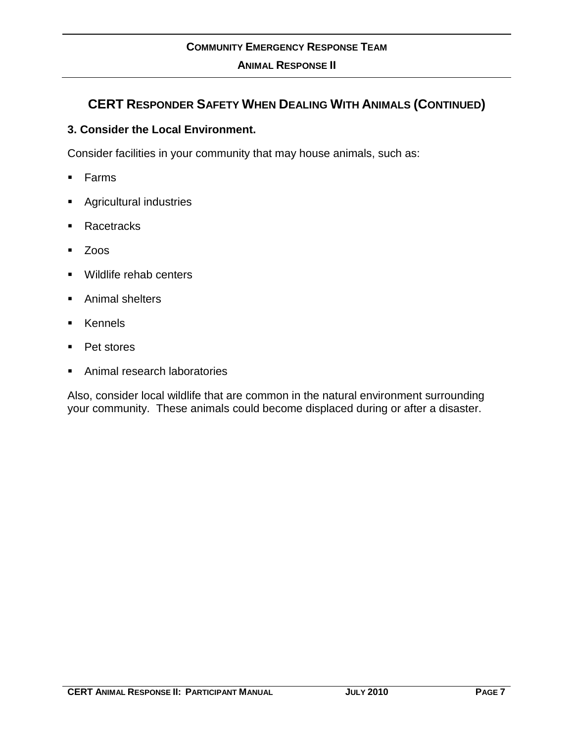### **CERT RESPONDER SAFETY WHEN DEALING WITH ANIMALS (CONTINUED)**

#### **3. Consider the Local Environment.**

Consider facilities in your community that may house animals, such as:

- $Farns$
- Agricultural industries
- Racetracks
- Zoos
- **Wildlife rehab centers**
- **Animal shelters**
- **EXEMPLE**
- **Pet stores**
- Animal research laboratories

Also, consider local wildlife that are common in the natural environment surrounding your community. These animals could become displaced during or after a disaster.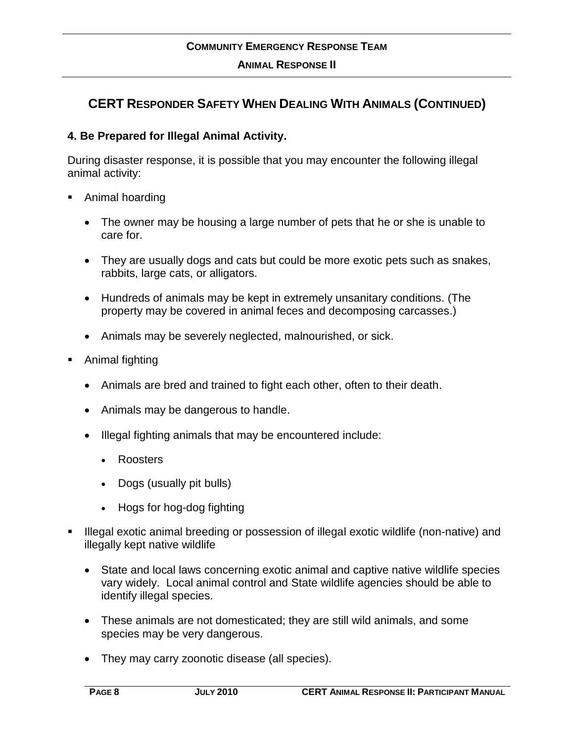### **CERT RESPONDER SAFETY WHEN DEALING WITH ANIMALS (CONTINUED)**

#### **4. Be Prepared for Illegal Animal Activity.**

During disaster response, it is possible that you may encounter the following illegal animal activity:

- Animal hoarding
	- The owner may be housing a large number of pets that he or she is unable to care for.
	- They are usually dogs and cats but could be more exotic pets such as snakes, rabbits, large cats, or alligators.
	- Hundreds of animals may be kept in extremely unsanitary conditions. (The property may be covered in animal feces and decomposing carcasses.)
	- Animals may be severely neglected, malnourished, or sick.
- Animal fighting
	- Animals are bred and trained to fight each other, often to their death.
	- Animals may be dangerous to handle.
	- Illegal fighting animals that may be encountered include:
		- Roosters
		- Dogs (usually pit bulls)
		- Hogs for hog-dog fighting
- Illegal exotic animal breeding or possession of illegal exotic wildlife (non-native) and illegally kept native wildlife
	- State and local laws concerning exotic animal and captive native wildlife species vary widely. Local animal control and State wildlife agencies should be able to identify illegal species.
	- These animals are not domesticated; they are still wild animals, and some species may be very dangerous.
	- They may carry zoonotic disease (all species).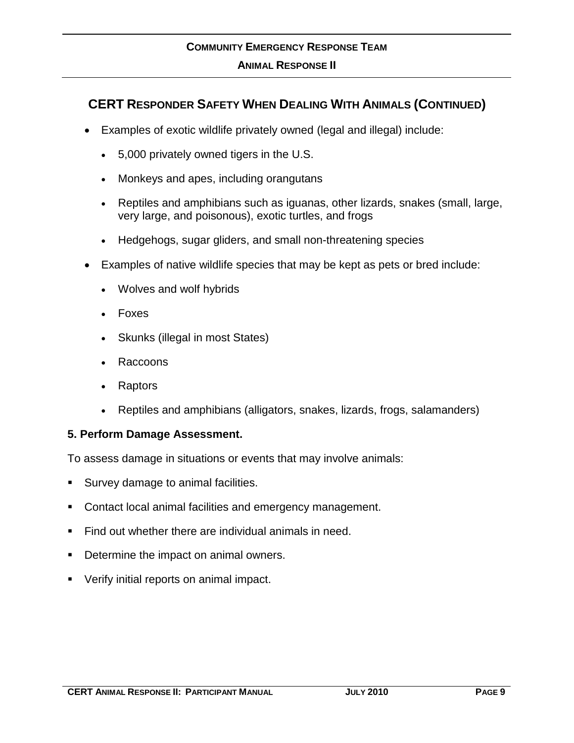### **COMMUNITY EMERGENCY RESPONSE TEAM ANIMAL RESPONSE II**

### **CERT RESPONDER SAFETY WHEN DEALING WITH ANIMALS (CONTINUED)**

- Examples of exotic wildlife privately owned (legal and illegal) include:
	- 5,000 privately owned tigers in the U.S.
	- Monkeys and apes, including orangutans
	- Reptiles and amphibians such as iguanas, other lizards, snakes (small, large, very large, and poisonous), exotic turtles, and frogs
	- Hedgehogs, sugar gliders, and small non-threatening species
- Examples of native wildlife species that may be kept as pets or bred include:
	- Wolves and wolf hybrids
	- Foxes
	- Skunks (illegal in most States)
	- Raccoons
	- Raptors
	- Reptiles and amphibians (alligators, snakes, lizards, frogs, salamanders)

#### **5. Perform Damage Assessment.**

To assess damage in situations or events that may involve animals:

- Survey damage to animal facilities.
- Contact local animal facilities and emergency management.
- Find out whether there are individual animals in need.
- Determine the impact on animal owners.
- Verify initial reports on animal impact.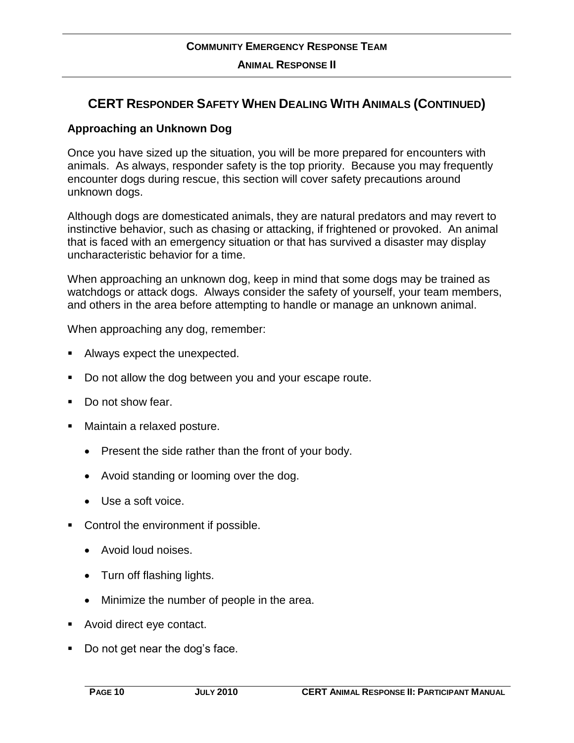### **CERT RESPONDER SAFETY WHEN DEALING WITH ANIMALS (CONTINUED)**

#### **Approaching an Unknown Dog**

Once you have sized up the situation, you will be more prepared for encounters with animals. As always, responder safety is the top priority. Because you may frequently encounter dogs during rescue, this section will cover safety precautions around unknown dogs.

Although dogs are domesticated animals, they are natural predators and may revert to instinctive behavior, such as chasing or attacking, if frightened or provoked. An animal that is faced with an emergency situation or that has survived a disaster may display uncharacteristic behavior for a time.

When approaching an unknown dog, keep in mind that some dogs may be trained as watchdogs or attack dogs. Always consider the safety of yourself, your team members, and others in the area before attempting to handle or manage an unknown animal.

When approaching any dog, remember:

- Always expect the unexpected.
- Do not allow the dog between you and your escape route.
- Do not show fear.
- **Maintain a relaxed posture.** 
	- Present the side rather than the front of your body.
	- Avoid standing or looming over the dog.
	- Use a soft voice.
- Control the environment if possible.
	- Avoid loud noises.
	- Turn off flashing lights.
	- Minimize the number of people in the area.
- **Avoid direct eye contact.**
- Do not get near the dog's face.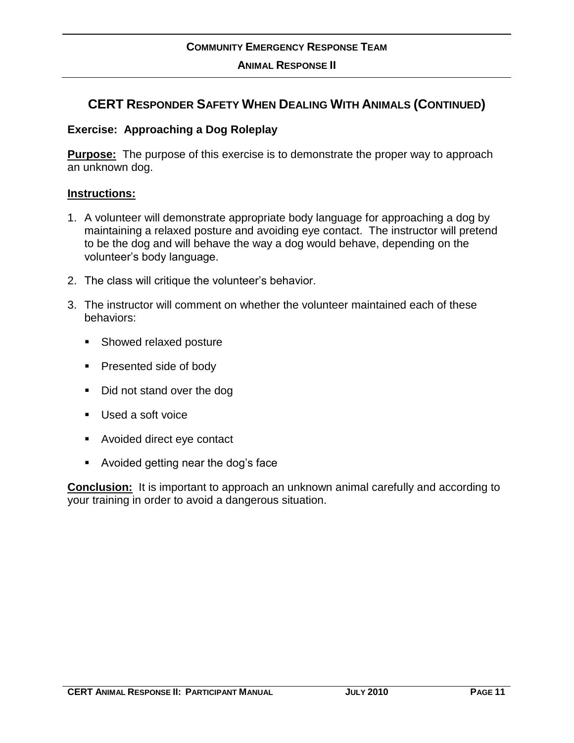### **CERT RESPONDER SAFETY WHEN DEALING WITH ANIMALS (CONTINUED)**

#### **Exercise: Approaching a Dog Roleplay**

**Purpose:** The purpose of this exercise is to demonstrate the proper way to approach an unknown dog.

#### **Instructions:**

- 1. A volunteer will demonstrate appropriate body language for approaching a dog by maintaining a relaxed posture and avoiding eye contact. The instructor will pretend to be the dog and will behave the way a dog would behave, depending on the volunteer's body language.
- 2. The class will critique the volunteer's behavior.
- 3. The instructor will comment on whether the volunteer maintained each of these behaviors:
	- Showed relaxed posture
	- **Presented side of body**
	- Did not stand over the dog
	- Used a soft voice
	- Avoided direct eye contact
	- Avoided getting near the dog's face

**Conclusion:** It is important to approach an unknown animal carefully and according to your training in order to avoid a dangerous situation.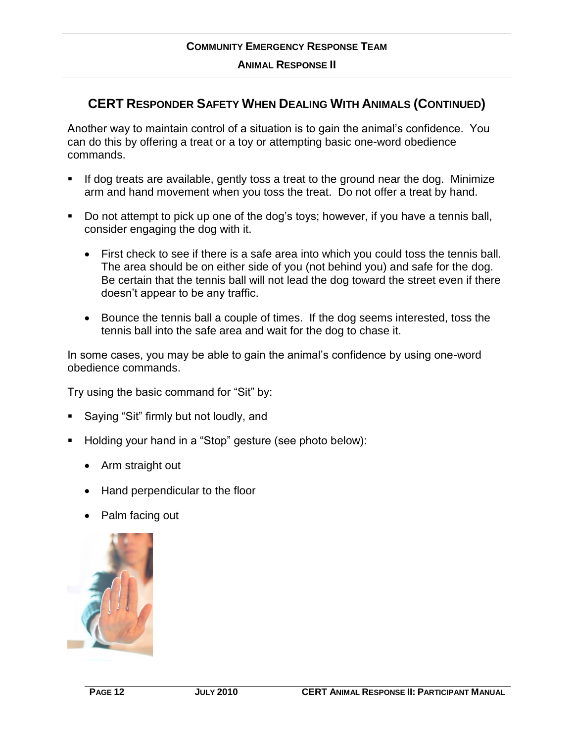### **CERT RESPONDER SAFETY WHEN DEALING WITH ANIMALS (CONTINUED)**

Another way to maintain control of a situation is to gain the animal's confidence. You can do this by offering a treat or a toy or attempting basic one-word obedience commands.

- If dog treats are available, gently toss a treat to the ground near the dog. Minimize arm and hand movement when you toss the treat. Do not offer a treat by hand.
- Do not attempt to pick up one of the dog's toys; however, if you have a tennis ball, consider engaging the dog with it.
	- First check to see if there is a safe area into which you could toss the tennis ball. The area should be on either side of you (not behind you) and safe for the dog. Be certain that the tennis ball will not lead the dog toward the street even if there doesn't appear to be any traffic.
	- Bounce the tennis ball a couple of times. If the dog seems interested, toss the tennis ball into the safe area and wait for the dog to chase it.

In some cases, you may be able to gain the animal's confidence by using one-word obedience commands.

Try using the basic command for "Sit" by:

- Saying "Sit" firmly but not loudly, and
- Holding your hand in a "Stop" gesture (see photo below):
	- Arm straight out
	- Hand perpendicular to the floor
	- Palm facing out

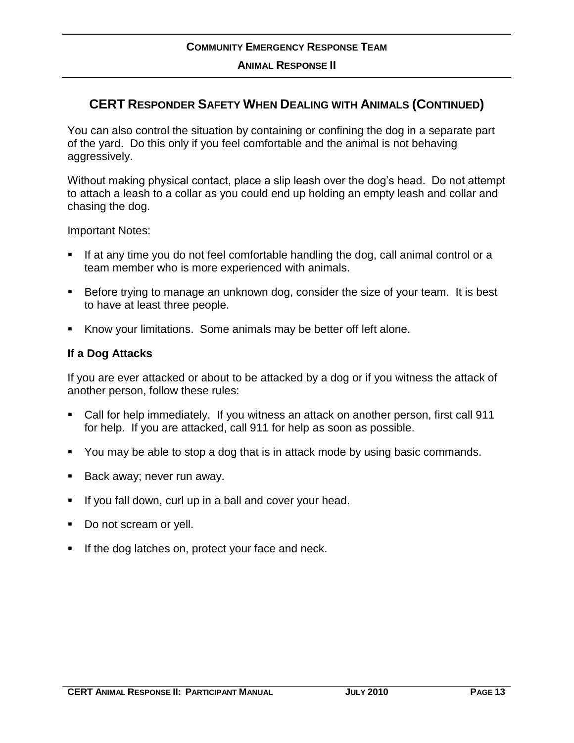### **CERT RESPONDER SAFETY WHEN DEALING WITH ANIMALS (CONTINUED)**

You can also control the situation by containing or confining the dog in a separate part of the yard. Do this only if you feel comfortable and the animal is not behaving aggressively.

Without making physical contact, place a slip leash over the dog's head. Do not attempt to attach a leash to a collar as you could end up holding an empty leash and collar and chasing the dog.

Important Notes:

- If at any time you do not feel comfortable handling the dog, call animal control or a team member who is more experienced with animals.
- Before trying to manage an unknown dog, consider the size of your team. It is best to have at least three people.
- Know your limitations. Some animals may be better off left alone.

#### **If a Dog Attacks**

If you are ever attacked or about to be attacked by a dog or if you witness the attack of another person, follow these rules:

- Call for help immediately. If you witness an attack on another person, first call 911 for help. If you are attacked, call 911 for help as soon as possible.
- You may be able to stop a dog that is in attack mode by using basic commands.
- Back away; never run away.
- If you fall down, curl up in a ball and cover your head.
- Do not scream or yell.
- If the dog latches on, protect your face and neck.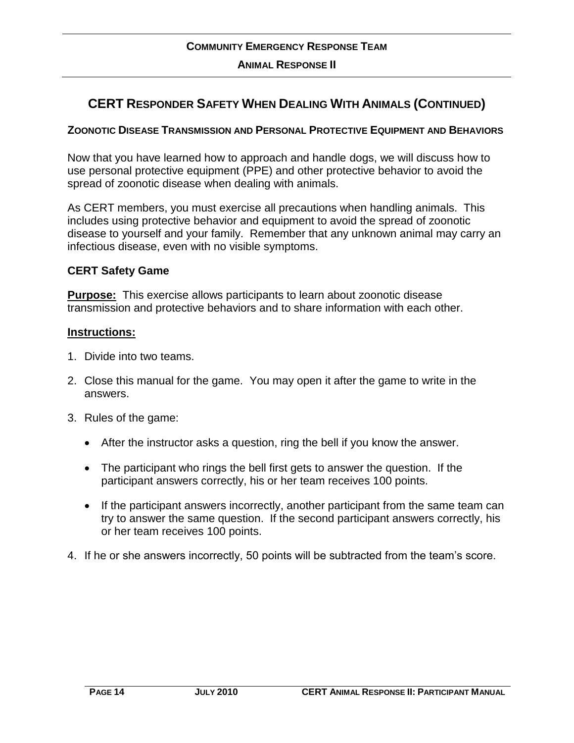### **CERT RESPONDER SAFETY WHEN DEALING WITH ANIMALS (CONTINUED)**

#### **ZOONOTIC DISEASE TRANSMISSION AND PERSONAL PROTECTIVE EQUIPMENT AND BEHAVIORS**

Now that you have learned how to approach and handle dogs, we will discuss how to use personal protective equipment (PPE) and other protective behavior to avoid the spread of zoonotic disease when dealing with animals.

As CERT members, you must exercise all precautions when handling animals. This includes using protective behavior and equipment to avoid the spread of zoonotic disease to yourself and your family. Remember that any unknown animal may carry an infectious disease, even with no visible symptoms.

#### **CERT Safety Game**

**Purpose:** This exercise allows participants to learn about zoonotic disease transmission and protective behaviors and to share information with each other.

#### **Instructions:**

- 1. Divide into two teams.
- 2. Close this manual for the game. You may open it after the game to write in the answers.
- 3. Rules of the game:
	- After the instructor asks a question, ring the bell if you know the answer.
	- The participant who rings the bell first gets to answer the question. If the participant answers correctly, his or her team receives 100 points.
	- If the participant answers incorrectly, another participant from the same team can try to answer the same question. If the second participant answers correctly, his or her team receives 100 points.
- 4. If he or she answers incorrectly, 50 points will be subtracted from the team's score.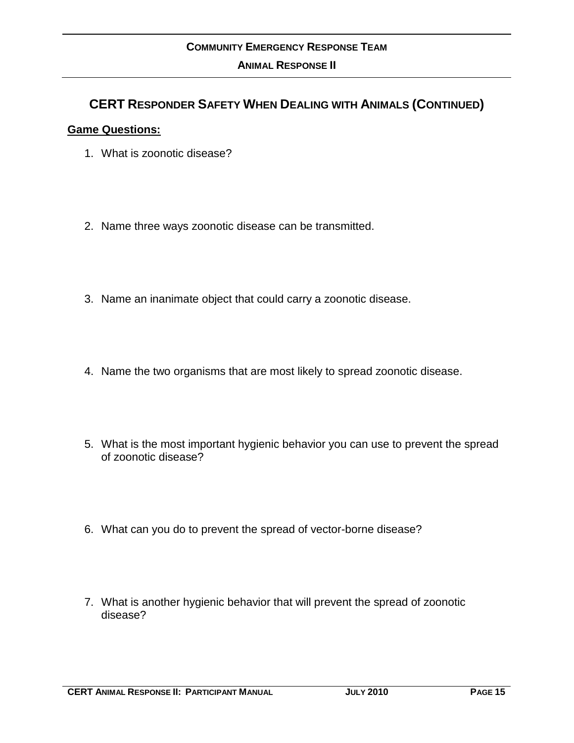### **CERT RESPONDER SAFETY WHEN DEALING WITH ANIMALS (CONTINUED)**

#### **Game Questions:**

- 1. What is zoonotic disease?
- 2. Name three ways zoonotic disease can be transmitted.
- 3. Name an inanimate object that could carry a zoonotic disease.
- 4. Name the two organisms that are most likely to spread zoonotic disease.
- 5. What is the most important hygienic behavior you can use to prevent the spread of zoonotic disease?
- 6. What can you do to prevent the spread of vector-borne disease?
- 7. What is another hygienic behavior that will prevent the spread of zoonotic disease?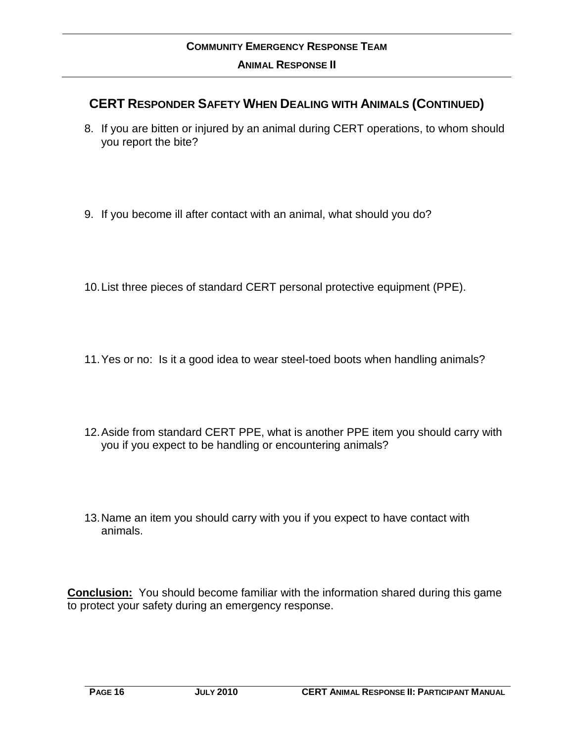### **CERT RESPONDER SAFETY WHEN DEALING WITH ANIMALS (CONTINUED)**

- 8. If you are bitten or injured by an animal during CERT operations, to whom should you report the bite?
- 9. If you become ill after contact with an animal, what should you do?
- 10.List three pieces of standard CERT personal protective equipment (PPE).
- 11.Yes or no: Is it a good idea to wear steel-toed boots when handling animals?
- 12.Aside from standard CERT PPE, what is another PPE item you should carry with you if you expect to be handling or encountering animals?
- 13.Name an item you should carry with you if you expect to have contact with animals.

**Conclusion:** You should become familiar with the information shared during this game to protect your safety during an emergency response.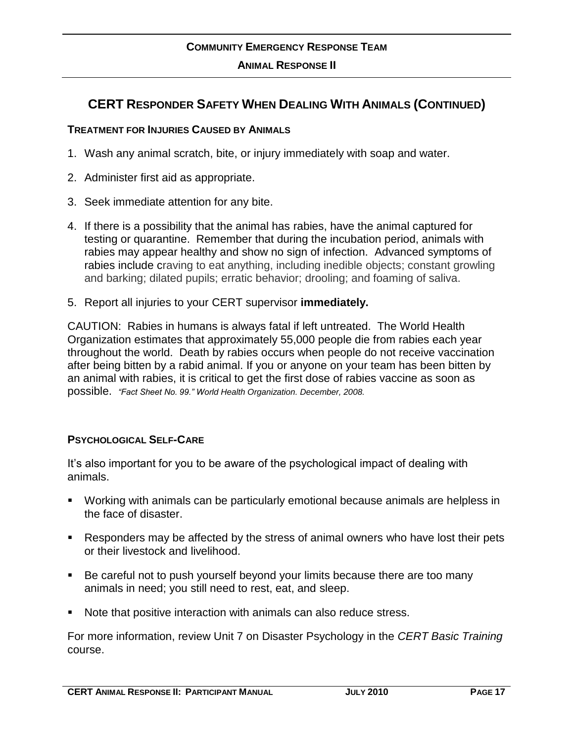### **COMMUNITY EMERGENCY RESPONSE TEAM ANIMAL RESPONSE II**

### **CERT RESPONDER SAFETY WHEN DEALING WITH ANIMALS (CONTINUED)**

#### **TREATMENT FOR INJURIES CAUSED BY ANIMALS**

- 1. Wash any animal scratch, bite, or injury immediately with soap and water.
- 2. Administer first aid as appropriate.
- 3. Seek immediate attention for any bite.
- 4. If there is a possibility that the animal has rabies, have the animal captured for testing or quarantine. Remember that during the incubation period, animals with rabies may appear healthy and show no sign of infection. Advanced symptoms of rabies include craving to eat anything, including inedible objects; constant growling and barking; dilated pupils; erratic behavior; drooling; and foaming of saliva.
- 5. Report all injuries to your CERT supervisor **immediately.**

CAUTION: Rabies in humans is always fatal if left untreated. The World Health Organization estimates that approximately 55,000 people die from rabies each year throughout the world. Death by rabies occurs when people do not receive vaccination after being bitten by a rabid animal. If you or anyone on your team has been bitten by an animal with rabies, it is critical to get the first dose of rabies vaccine as soon as possible. *"Fact Sheet No. 99." World Health Organization. December, 2008.*

#### **PSYCHOLOGICAL SELF-CARE**

It's also important for you to be aware of the psychological impact of dealing with animals.

- Working with animals can be particularly emotional because animals are helpless in the face of disaster.
- Responders may be affected by the stress of animal owners who have lost their pets or their livestock and livelihood.
- Be careful not to push yourself beyond your limits because there are too many animals in need; you still need to rest, eat, and sleep.
- Note that positive interaction with animals can also reduce stress.

For more information, review Unit 7 on Disaster Psychology in the *CERT Basic Training* course.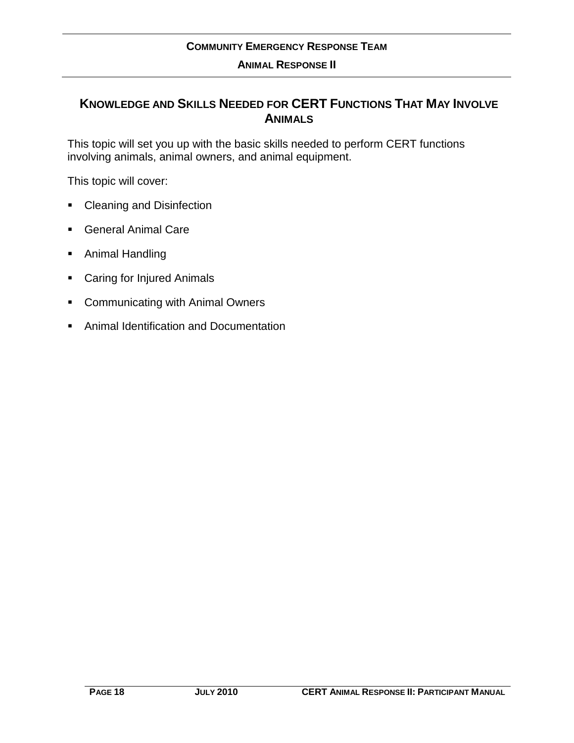### **KNOWLEDGE AND SKILLS NEEDED FOR CERT FUNCTIONS THAT MAY INVOLVE ANIMALS**

This topic will set you up with the basic skills needed to perform CERT functions involving animals, animal owners, and animal equipment.

This topic will cover:

- Cleaning and Disinfection
- **General Animal Care**
- **Animal Handling**
- Caring for Injured Animals
- **EXECOMMUNICATING With Animal Owners**
- Animal Identification and Documentation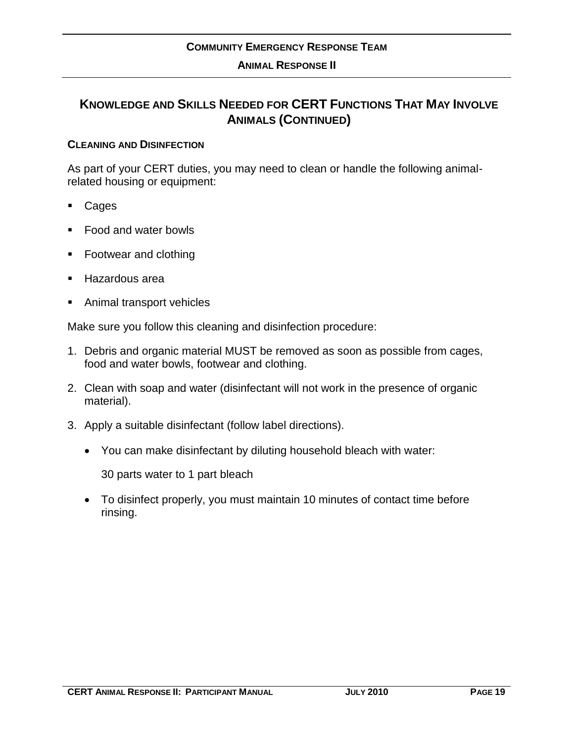#### **CLEANING AND DISINFECTION**

As part of your CERT duties, you may need to clean or handle the following animalrelated housing or equipment:

- Cages
- Food and water bowls
- Footwear and clothing
- Hazardous area
- Animal transport vehicles

Make sure you follow this cleaning and disinfection procedure:

- 1. Debris and organic material MUST be removed as soon as possible from cages, food and water bowls, footwear and clothing.
- 2. Clean with soap and water (disinfectant will not work in the presence of organic material).
- 3. Apply a suitable disinfectant (follow label directions).
	- You can make disinfectant by diluting household bleach with water:

30 parts water to 1 part bleach

 To disinfect properly, you must maintain 10 minutes of contact time before rinsing.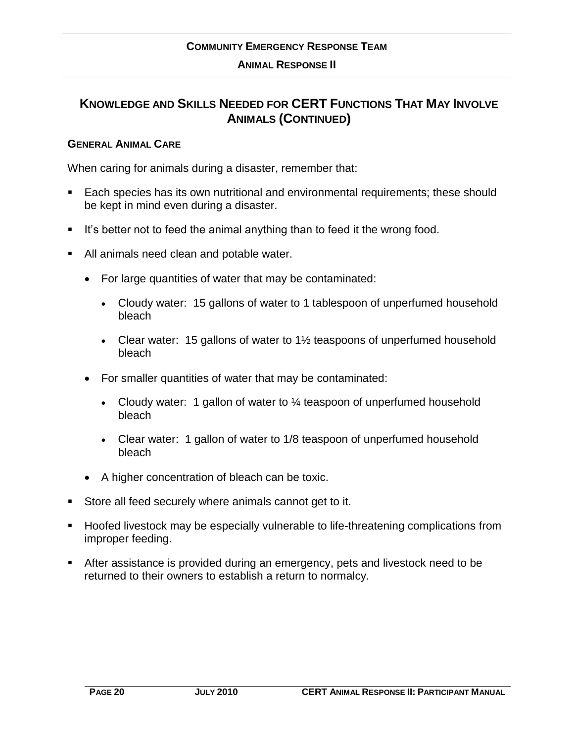### **KNOWLEDGE AND SKILLS NEEDED FOR CERT FUNCTIONS THAT MAY INVOLVE ANIMALS (CONTINUED)**

#### **GENERAL ANIMAL CARE**

When caring for animals during a disaster, remember that:

- **Each species has its own nutritional and environmental requirements; these should** be kept in mind even during a disaster.
- It's better not to feed the animal anything than to feed it the wrong food.
- All animals need clean and potable water.
	- For large quantities of water that may be contaminated:
		- Cloudy water: 15 gallons of water to 1 tablespoon of unperfumed household bleach
		- Clear water: 15 gallons of water to 1<sup>1/2</sup> teaspoons of unperfumed household bleach
	- For smaller quantities of water that may be contaminated:
		- Cloudy water: 1 gallon of water to  $\frac{1}{4}$  teaspoon of unperfumed household bleach
		- Clear water: 1 gallon of water to 1/8 teaspoon of unperfumed household bleach
	- A higher concentration of bleach can be toxic.
- Store all feed securely where animals cannot get to it.
- **Hoofed livestock may be especially vulnerable to life-threatening complications from** improper feeding.
- After assistance is provided during an emergency, pets and livestock need to be returned to their owners to establish a return to normalcy.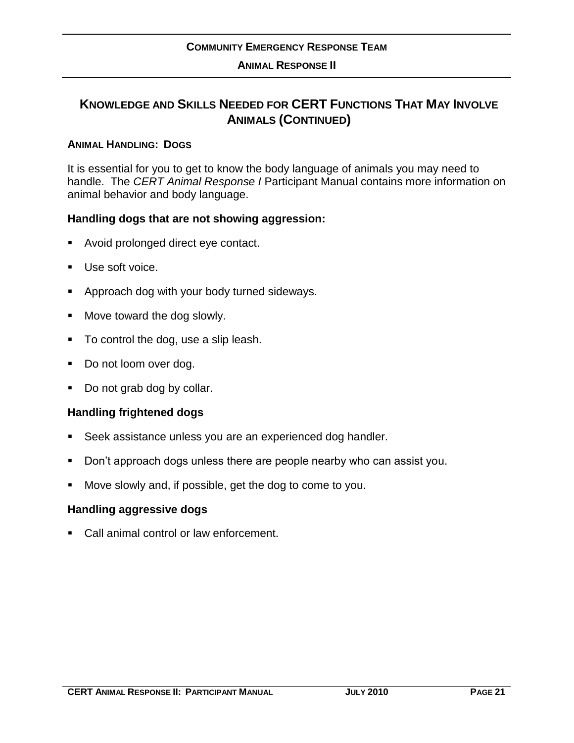#### **ANIMAL HANDLING: DOGS**

It is essential for you to get to know the body language of animals you may need to handle. The *CERT Animal Response I* Participant Manual contains more information on animal behavior and body language.

#### **Handling dogs that are not showing aggression:**

- Avoid prolonged direct eye contact.
- Use soft voice.
- **Approach dog with your body turned sideways.**
- **Move toward the dog slowly.**
- To control the dog, use a slip leash.
- Do not loom over dog.
- Do not grab dog by collar.

#### **Handling frightened dogs**

- Seek assistance unless you are an experienced dog handler.
- Don't approach dogs unless there are people nearby who can assist you.
- Move slowly and, if possible, get the dog to come to you.

#### **Handling aggressive dogs**

Call animal control or law enforcement.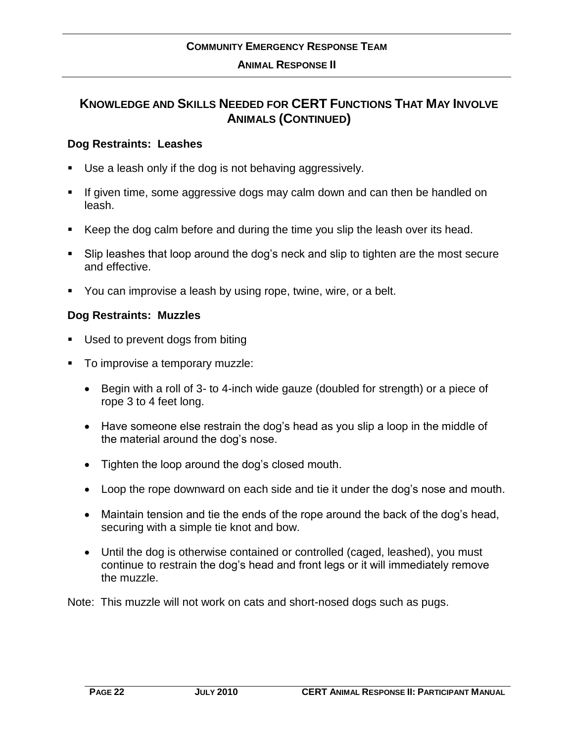### **KNOWLEDGE AND SKILLS NEEDED FOR CERT FUNCTIONS THAT MAY INVOLVE ANIMALS (CONTINUED)**

#### **Dog Restraints: Leashes**

- Use a leash only if the dog is not behaving aggressively.
- If given time, some aggressive dogs may calm down and can then be handled on leash.
- Keep the dog calm before and during the time you slip the leash over its head.
- Slip leashes that loop around the dog's neck and slip to tighten are the most secure and effective.
- You can improvise a leash by using rope, twine, wire, or a belt.

#### **Dog Restraints: Muzzles**

- Used to prevent dogs from biting
- To improvise a temporary muzzle:
	- Begin with a roll of 3- to 4-inch wide gauze (doubled for strength) or a piece of rope 3 to 4 feet long.
	- Have someone else restrain the dog's head as you slip a loop in the middle of the material around the dog's nose.
	- Tighten the loop around the dog's closed mouth.
	- Loop the rope downward on each side and tie it under the dog's nose and mouth.
	- Maintain tension and tie the ends of the rope around the back of the dog's head, securing with a simple tie knot and bow.
	- Until the dog is otherwise contained or controlled (caged, leashed), you must continue to restrain the dog's head and front legs or it will immediately remove the muzzle.

Note: This muzzle will not work on cats and short-nosed dogs such as pugs.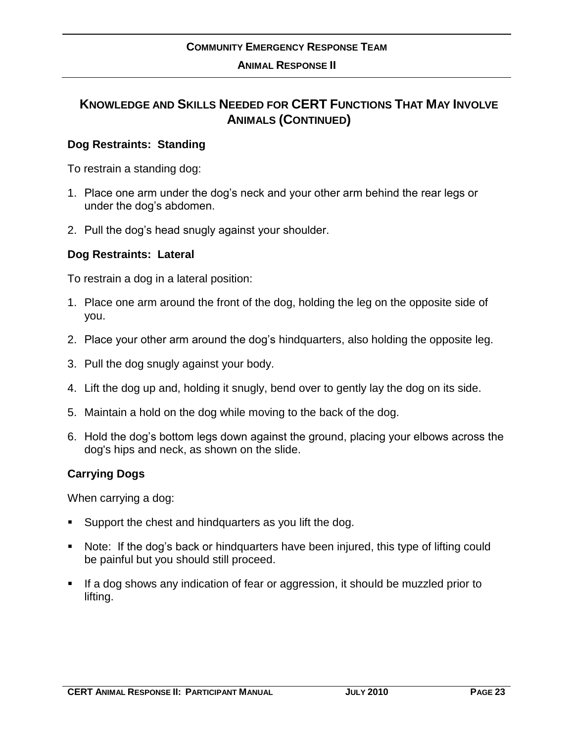#### **ANIMAL RESPONSE II**

### **KNOWLEDGE AND SKILLS NEEDED FOR CERT FUNCTIONS THAT MAY INVOLVE ANIMALS (CONTINUED)**

#### **Dog Restraints: Standing**

To restrain a standing dog:

- 1. Place one arm under the dog's neck and your other arm behind the rear legs or under the dog's abdomen.
- 2. Pull the dog's head snugly against your shoulder.

#### **Dog Restraints: Lateral**

To restrain a dog in a lateral position:

- 1. Place one arm around the front of the dog, holding the leg on the opposite side of you.
- 2. Place your other arm around the dog's hindquarters, also holding the opposite leg.
- 3. Pull the dog snugly against your body.
- 4. Lift the dog up and, holding it snugly, bend over to gently lay the dog on its side.
- 5. Maintain a hold on the dog while moving to the back of the dog.
- 6. Hold the dog's bottom legs down against the ground, placing your elbows across the dog's hips and neck, as shown on the slide.

#### **Carrying Dogs**

When carrying a dog:

- Support the chest and hindquarters as you lift the dog.
- Note: If the dog's back or hindquarters have been injured, this type of lifting could be painful but you should still proceed.
- If a dog shows any indication of fear or aggression, it should be muzzled prior to lifting.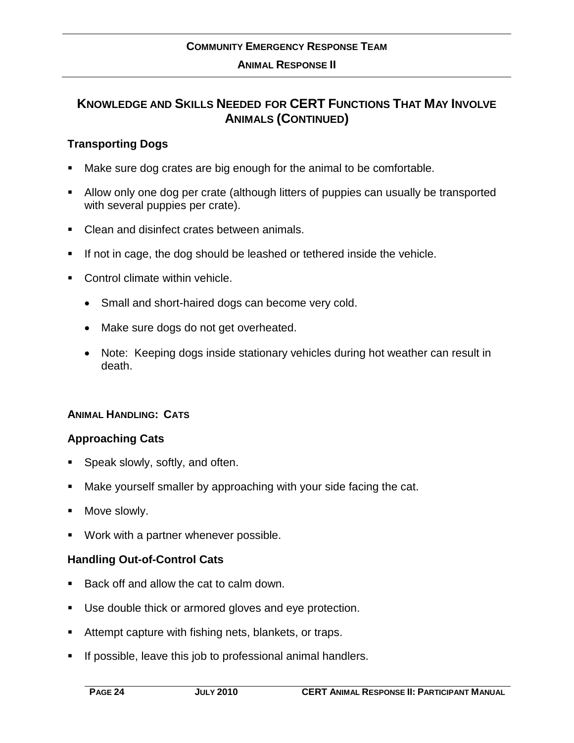### **KNOWLEDGE AND SKILLS NEEDED FOR CERT FUNCTIONS THAT MAY INVOLVE ANIMALS (CONTINUED)**

#### **Transporting Dogs**

- Make sure dog crates are big enough for the animal to be comfortable.
- Allow only one dog per crate (although litters of puppies can usually be transported with several puppies per crate).
- Clean and disinfect crates between animals.
- If not in cage, the dog should be leashed or tethered inside the vehicle.
- Control climate within vehicle.
	- Small and short-haired dogs can become very cold.
	- Make sure dogs do not get overheated.
	- Note: Keeping dogs inside stationary vehicles during hot weather can result in death.

#### **ANIMAL HANDLING: CATS**

#### **Approaching Cats**

- Speak slowly, softly, and often.
- Make yourself smaller by approaching with your side facing the cat.
- Move slowly.
- Work with a partner whenever possible.

#### **Handling Out-of-Control Cats**

- Back off and allow the cat to calm down.
- Use double thick or armored gloves and eye protection.
- Attempt capture with fishing nets, blankets, or traps.
- If possible, leave this job to professional animal handlers.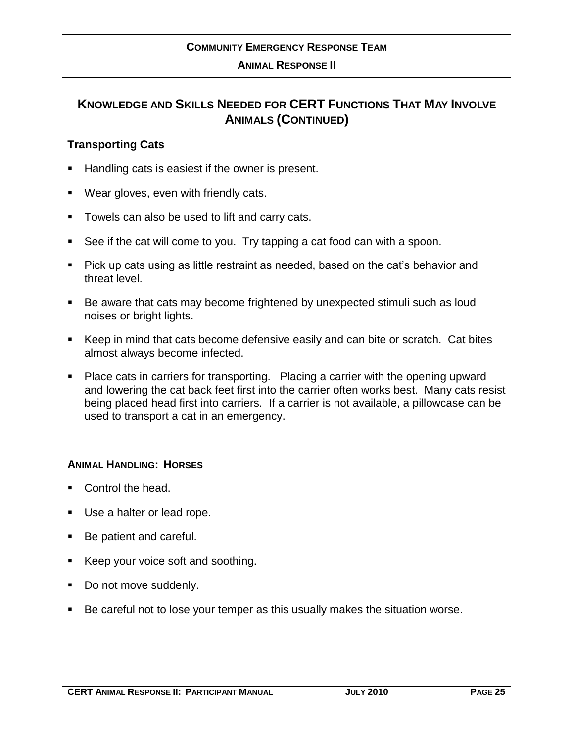#### **Transporting Cats**

- Handling cats is easiest if the owner is present.
- Wear gloves, even with friendly cats.
- **Towels can also be used to lift and carry cats.**
- See if the cat will come to you. Try tapping a cat food can with a spoon.
- Pick up cats using as little restraint as needed, based on the cat's behavior and threat level.
- Be aware that cats may become frightened by unexpected stimuli such as loud noises or bright lights.
- Keep in mind that cats become defensive easily and can bite or scratch. Cat bites almost always become infected.
- Place cats in carriers for transporting. Placing a carrier with the opening upward and lowering the cat back feet first into the carrier often works best. Many cats resist being placed head first into carriers. If a carrier is not available, a pillowcase can be used to transport a cat in an emergency.

#### **ANIMAL HANDLING: HORSES**

- Control the head.
- Use a halter or lead rope.
- Be patient and careful.
- Keep your voice soft and soothing.
- Do not move suddenly.
- Be careful not to lose your temper as this usually makes the situation worse.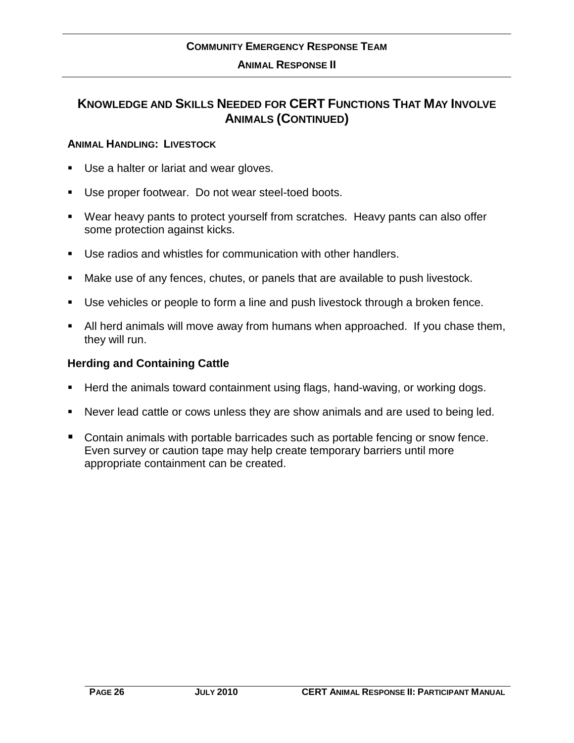### **KNOWLEDGE AND SKILLS NEEDED FOR CERT FUNCTIONS THAT MAY INVOLVE ANIMALS (CONTINUED)**

#### **ANIMAL HANDLING: LIVESTOCK**

- Use a halter or lariat and wear gloves.
- Use proper footwear. Do not wear steel-toed boots.
- Wear heavy pants to protect yourself from scratches. Heavy pants can also offer some protection against kicks.
- Use radios and whistles for communication with other handlers.
- Make use of any fences, chutes, or panels that are available to push livestock.
- Use vehicles or people to form a line and push livestock through a broken fence.
- All herd animals will move away from humans when approached. If you chase them, they will run.

#### **Herding and Containing Cattle**

- Herd the animals toward containment using flags, hand-waving, or working dogs.
- Never lead cattle or cows unless they are show animals and are used to being led.
- Contain animals with portable barricades such as portable fencing or snow fence. Even survey or caution tape may help create temporary barriers until more appropriate containment can be created.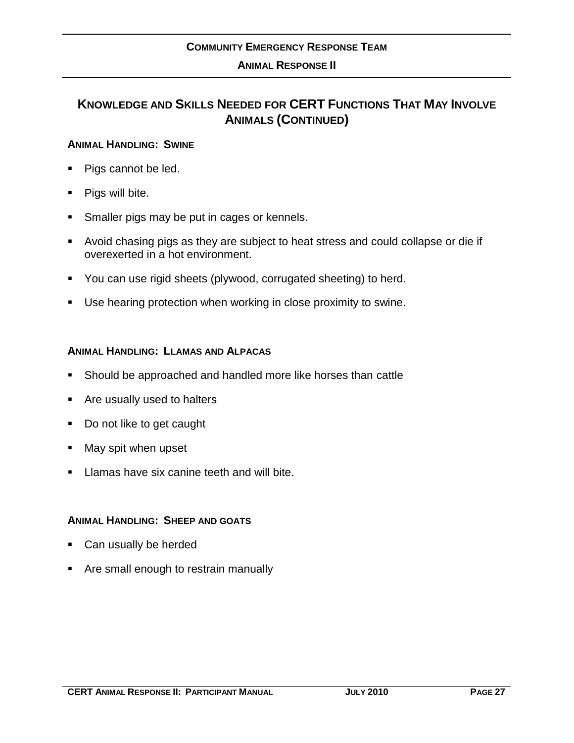#### **ANIMAL RESPONSE II**

### **KNOWLEDGE AND SKILLS NEEDED FOR CERT FUNCTIONS THAT MAY INVOLVE ANIMALS (CONTINUED)**

#### **ANIMAL HANDLING: SWINE**

- Pigs cannot be led.
- Pigs will bite.
- **Smaller pigs may be put in cages or kennels.**
- Avoid chasing pigs as they are subject to heat stress and could collapse or die if overexerted in a hot environment.
- You can use rigid sheets (plywood, corrugated sheeting) to herd.
- Use hearing protection when working in close proximity to swine.

#### **ANIMAL HANDLING: LLAMAS AND ALPACAS**

- Should be approached and handled more like horses than cattle
- Are usually used to halters
- Do not like to get caught
- **May spit when upset**
- **Llamas have six canine teeth and will bite.**

#### **ANIMAL HANDLING: SHEEP AND GOATS**

- Can usually be herded
- Are small enough to restrain manually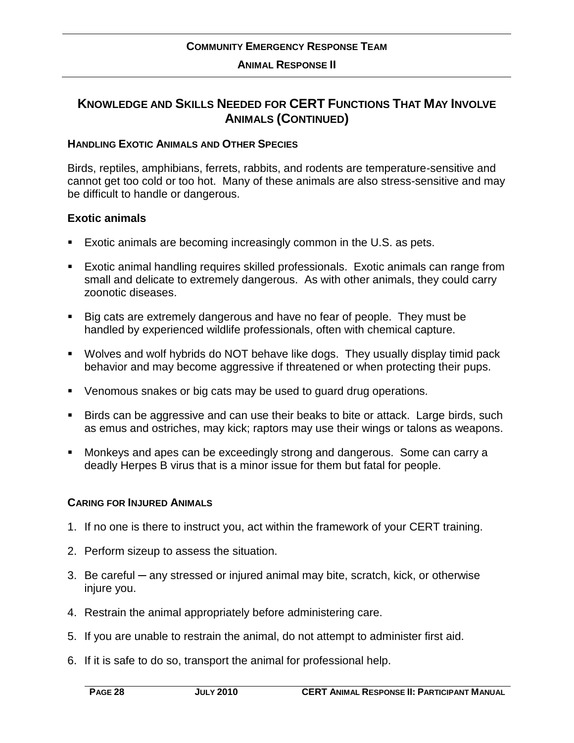### **KNOWLEDGE AND SKILLS NEEDED FOR CERT FUNCTIONS THAT MAY INVOLVE ANIMALS (CONTINUED)**

#### **HANDLING EXOTIC ANIMALS AND OTHER SPECIES**

Birds, reptiles, amphibians, ferrets, rabbits, and rodents are temperature-sensitive and cannot get too cold or too hot. Many of these animals are also stress-sensitive and may be difficult to handle or dangerous.

#### **Exotic animals**

- Exotic animals are becoming increasingly common in the U.S. as pets.
- Exotic animal handling requires skilled professionals. Exotic animals can range from small and delicate to extremely dangerous. As with other animals, they could carry zoonotic diseases.
- Big cats are extremely dangerous and have no fear of people. They must be handled by experienced wildlife professionals, often with chemical capture.
- Wolves and wolf hybrids do NOT behave like dogs. They usually display timid pack behavior and may become aggressive if threatened or when protecting their pups.
- Venomous snakes or big cats may be used to guard drug operations.
- **Birds can be aggressive and can use their beaks to bite or attack. Large birds, such** as emus and ostriches, may kick; raptors may use their wings or talons as weapons.
- Monkeys and apes can be exceedingly strong and dangerous. Some can carry a deadly Herpes B virus that is a minor issue for them but fatal for people.

#### **CARING FOR INJURED ANIMALS**

- 1. If no one is there to instruct you, act within the framework of your CERT training.
- 2. Perform sizeup to assess the situation.
- 3. Be careful any stressed or injured animal may bite, scratch, kick, or otherwise injure you.
- 4. Restrain the animal appropriately before administering care.
- 5. If you are unable to restrain the animal, do not attempt to administer first aid.
- 6. If it is safe to do so, transport the animal for professional help.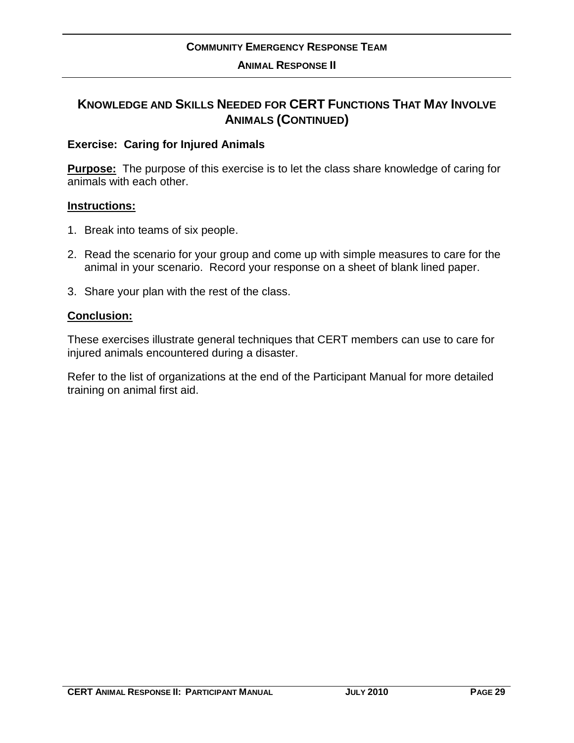#### **Exercise: Caring for Injured Animals**

**Purpose:** The purpose of this exercise is to let the class share knowledge of caring for animals with each other.

#### **Instructions:**

- 1. Break into teams of six people.
- 2. Read the scenario for your group and come up with simple measures to care for the animal in your scenario. Record your response on a sheet of blank lined paper.
- 3. Share your plan with the rest of the class.

#### **Conclusion:**

These exercises illustrate general techniques that CERT members can use to care for injured animals encountered during a disaster.

Refer to the list of organizations at the end of the Participant Manual for more detailed training on animal first aid.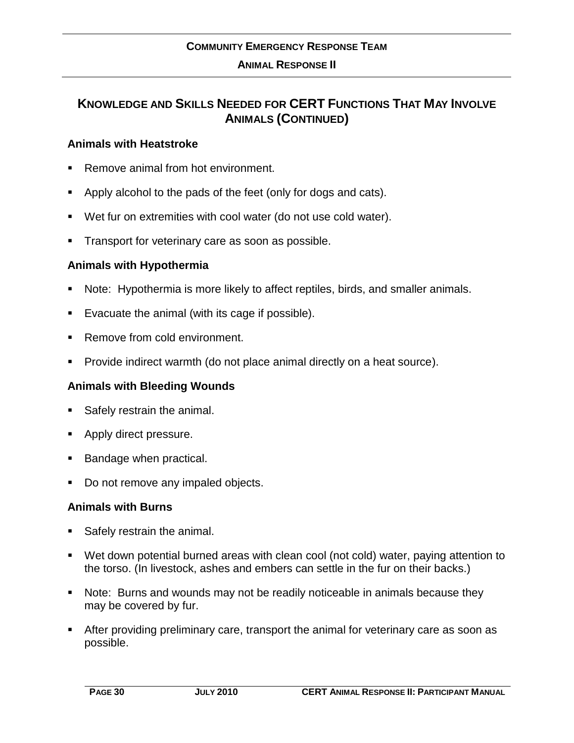#### **Animals with Heatstroke**

- Remove animal from hot environment.
- Apply alcohol to the pads of the feet (only for dogs and cats).
- Wet fur on extremities with cool water (do not use cold water).
- Transport for veterinary care as soon as possible.

#### **Animals with Hypothermia**

- Note: Hypothermia is more likely to affect reptiles, birds, and smaller animals.
- Evacuate the animal (with its cage if possible).
- Remove from cold environment.
- Provide indirect warmth (do not place animal directly on a heat source).

#### **Animals with Bleeding Wounds**

- Safely restrain the animal.
- Apply direct pressure.
- Bandage when practical.
- Do not remove any impaled objects.

#### **Animals with Burns**

- Safely restrain the animal.
- Wet down potential burned areas with clean cool (not cold) water, paying attention to the torso. (In livestock, ashes and embers can settle in the fur on their backs.)
- Note: Burns and wounds may not be readily noticeable in animals because they may be covered by fur.
- After providing preliminary care, transport the animal for veterinary care as soon as possible.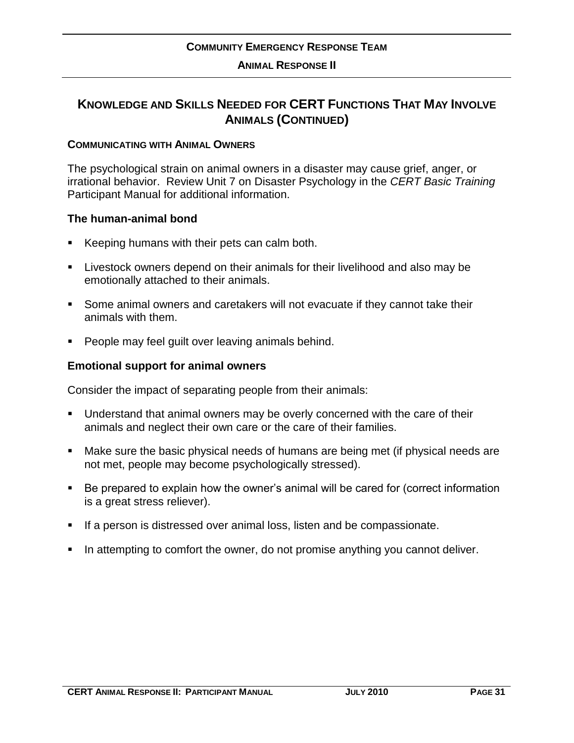#### **COMMUNICATING WITH ANIMAL OWNERS**

The psychological strain on animal owners in a disaster may cause grief, anger, or irrational behavior. Review Unit 7 on Disaster Psychology in the *CERT Basic Training* Participant Manual for additional information.

#### **The human-animal bond**

- Keeping humans with their pets can calm both.
- Livestock owners depend on their animals for their livelihood and also may be emotionally attached to their animals.
- Some animal owners and caretakers will not evacuate if they cannot take their animals with them.
- **People may feel quilt over leaving animals behind.**

#### **Emotional support for animal owners**

Consider the impact of separating people from their animals:

- Understand that animal owners may be overly concerned with the care of their animals and neglect their own care or the care of their families.
- Make sure the basic physical needs of humans are being met (if physical needs are not met, people may become psychologically stressed).
- Be prepared to explain how the owner's animal will be cared for (correct information is a great stress reliever).
- **If a person is distressed over animal loss, listen and be compassionate.**
- In attempting to comfort the owner, do not promise anything you cannot deliver.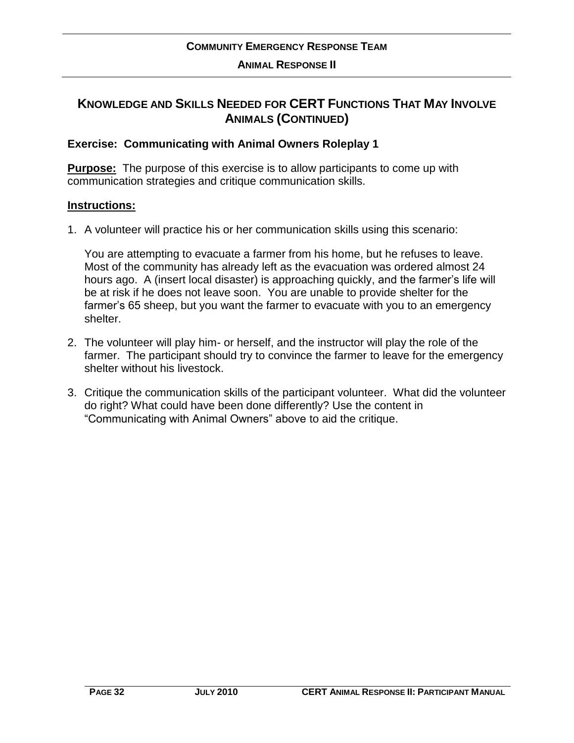### **KNOWLEDGE AND SKILLS NEEDED FOR CERT FUNCTIONS THAT MAY INVOLVE ANIMALS (CONTINUED)**

#### **Exercise: Communicating with Animal Owners Roleplay 1**

**Purpose:** The purpose of this exercise is to allow participants to come up with communication strategies and critique communication skills.

#### **Instructions:**

1. A volunteer will practice his or her communication skills using this scenario:

You are attempting to evacuate a farmer from his home, but he refuses to leave. Most of the community has already left as the evacuation was ordered almost 24 hours ago. A (insert local disaster) is approaching quickly, and the farmer's life will be at risk if he does not leave soon. You are unable to provide shelter for the farmer's 65 sheep, but you want the farmer to evacuate with you to an emergency shelter.

- 2. The volunteer will play him- or herself, and the instructor will play the role of the farmer. The participant should try to convince the farmer to leave for the emergency shelter without his livestock.
- 3. Critique the communication skills of the participant volunteer. What did the volunteer do right? What could have been done differently? Use the content in "Communicating with Animal Owners" above to aid the critique.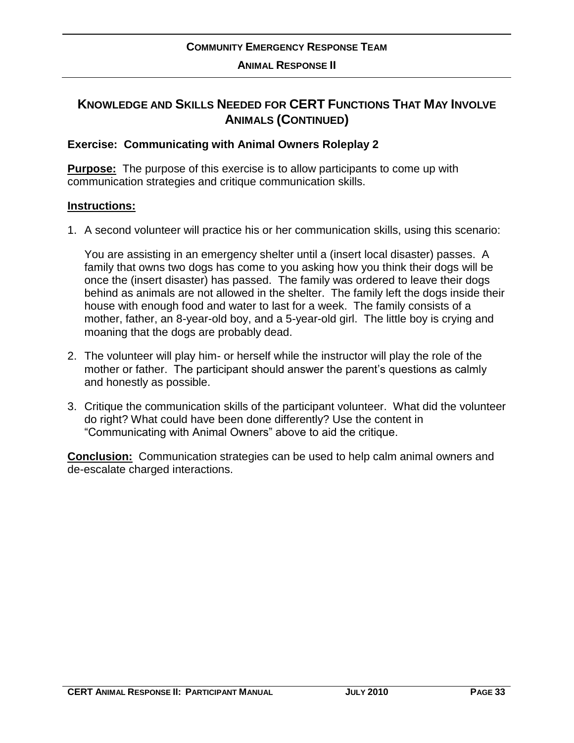#### **Exercise: Communicating with Animal Owners Roleplay 2**

**Purpose:** The purpose of this exercise is to allow participants to come up with communication strategies and critique communication skills.

#### **Instructions:**

1. A second volunteer will practice his or her communication skills, using this scenario:

You are assisting in an emergency shelter until a (insert local disaster) passes. A family that owns two dogs has come to you asking how you think their dogs will be once the (insert disaster) has passed. The family was ordered to leave their dogs behind as animals are not allowed in the shelter. The family left the dogs inside their house with enough food and water to last for a week. The family consists of a mother, father, an 8-year-old boy, and a 5-year-old girl. The little boy is crying and moaning that the dogs are probably dead.

- 2. The volunteer will play him- or herself while the instructor will play the role of the mother or father. The participant should answer the parent's questions as calmly and honestly as possible.
- 3. Critique the communication skills of the participant volunteer. What did the volunteer do right? What could have been done differently? Use the content in "Communicating with Animal Owners" above to aid the critique.

**Conclusion:** Communication strategies can be used to help calm animal owners and de-escalate charged interactions.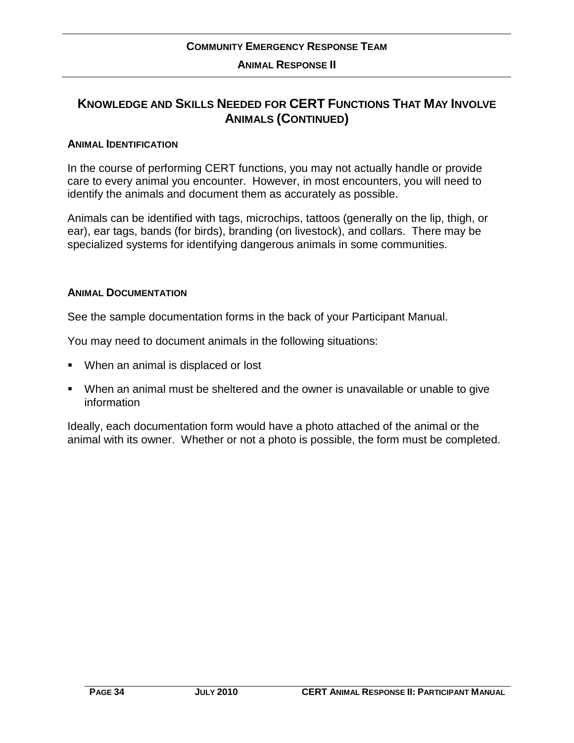### **KNOWLEDGE AND SKILLS NEEDED FOR CERT FUNCTIONS THAT MAY INVOLVE ANIMALS (CONTINUED)**

#### **ANIMAL IDENTIFICATION**

In the course of performing CERT functions, you may not actually handle or provide care to every animal you encounter. However, in most encounters, you will need to identify the animals and document them as accurately as possible.

Animals can be identified with tags, microchips, tattoos (generally on the lip, thigh, or ear), ear tags, bands (for birds), branding (on livestock), and collars. There may be specialized systems for identifying dangerous animals in some communities.

#### **ANIMAL DOCUMENTATION**

See the sample documentation forms in the back of your Participant Manual.

You may need to document animals in the following situations:

- When an animal is displaced or lost
- When an animal must be sheltered and the owner is unavailable or unable to give information

Ideally, each documentation form would have a photo attached of the animal or the animal with its owner. Whether or not a photo is possible, the form must be completed.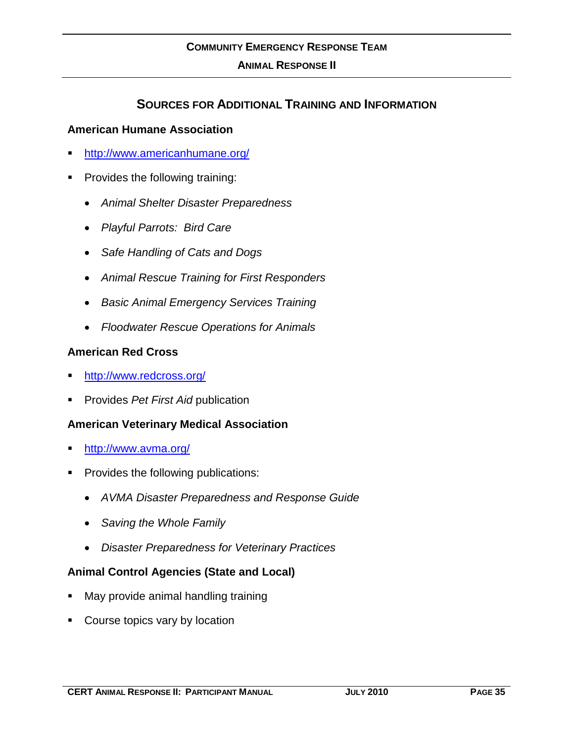### **SOURCES FOR ADDITIONAL TRAINING AND INFORMATION**

#### **American Humane Association**

- <http://www.americanhumane.org/>
- **Provides the following training:** 
	- *Animal Shelter Disaster Preparedness*
	- *Playful Parrots: Bird Care*
	- *Safe Handling of Cats and Dogs*
	- *Animal Rescue Training for First Responders*
	- *Basic Animal Emergency Services Training*
	- *Floodwater Rescue Operations for Animals*

#### **American Red Cross**

- <http://www.redcross.org/>
- Provides *Pet First Aid* publication

#### **American Veterinary Medical Association**

- <http://www.avma.org/>
- Provides the following publications:
	- *AVMA Disaster Preparedness and Response Guide*
	- *Saving the Whole Family*
	- *Disaster Preparedness for Veterinary Practices*

#### **Animal Control Agencies (State and Local)**

- May provide animal handling training
- Course topics vary by location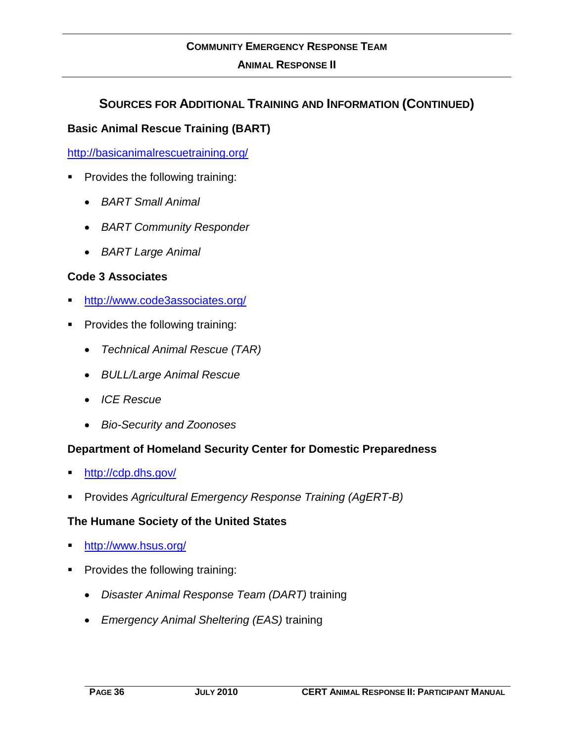### **SOURCES FOR ADDITIONAL TRAINING AND INFORMATION (CONTINUED)**

#### **Basic Animal Rescue Training (BART)**

<http://basicanimalrescuetraining.org/>

- **Provides the following training:** 
	- *BART Small Animal*
	- *BART Community Responder*
	- *BART Large Animal*

#### **Code 3 Associates**

- <http://www.code3associates.org/>
- Provides the following training:
	- *Technical Animal Rescue (TAR)*
	- *BULL/Large Animal Rescue*
	- *ICE Rescue*
	- *Bio-Security and Zoonoses*

#### **Department of Homeland Security Center for Domestic Preparedness**

- <http://cdp.dhs.gov/>
- Provides *Agricultural Emergency Response Training (AgERT-B)*

#### **The Humane Society of the United States**

- <http://www.hsus.org/>
- Provides the following training:
	- *Disaster Animal Response Team (DART)* training
	- *Emergency Animal Sheltering (EAS)* training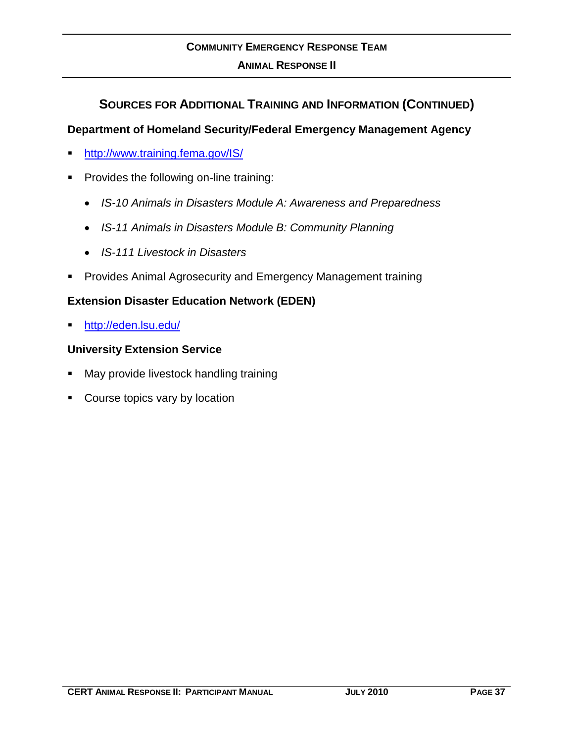### **SOURCES FOR ADDITIONAL TRAINING AND INFORMATION (CONTINUED)**

#### **Department of Homeland Security/Federal Emergency Management Agency**

- **<http://www.training.fema.gov/IS/>**
- **Provides the following on-line training:** 
	- *IS-10 Animals in Disasters Module A: Awareness and Preparedness*
	- *IS-11 Animals in Disasters Module B: Community Planning*
	- *IS-111 Livestock in Disasters*
- **Provides Animal Agrosecurity and Emergency Management training**

#### **Extension Disaster Education Network (EDEN)**

<http://eden.lsu.edu/>

#### **University Extension Service**

- May provide livestock handling training
- Course topics vary by location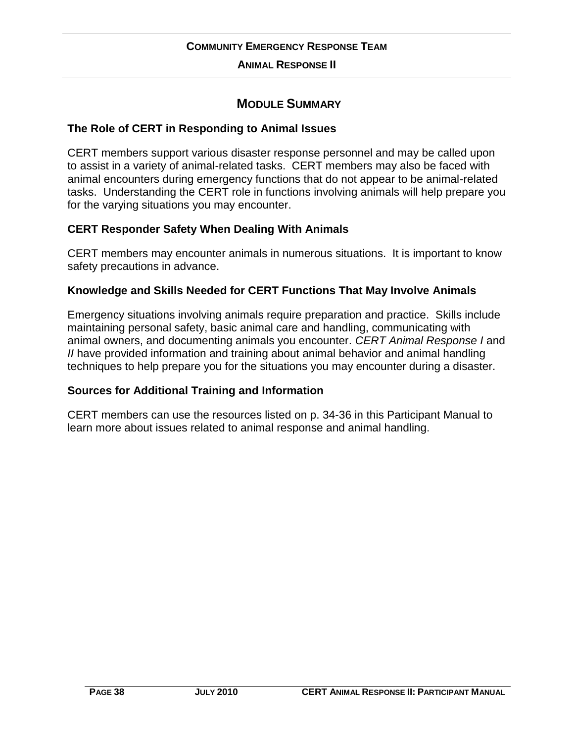### **MODULE SUMMARY**

#### **The Role of CERT in Responding to Animal Issues**

CERT members support various disaster response personnel and may be called upon to assist in a variety of animal-related tasks. CERT members may also be faced with animal encounters during emergency functions that do not appear to be animal-related tasks. Understanding the CERT role in functions involving animals will help prepare you for the varying situations you may encounter.

#### **CERT Responder Safety When Dealing With Animals**

CERT members may encounter animals in numerous situations. It is important to know safety precautions in advance.

#### **Knowledge and Skills Needed for CERT Functions That May Involve Animals**

Emergency situations involving animals require preparation and practice. Skills include maintaining personal safety, basic animal care and handling, communicating with animal owners, and documenting animals you encounter. *CERT Animal Response I* and *II* have provided information and training about animal behavior and animal handling techniques to help prepare you for the situations you may encounter during a disaster.

#### **Sources for Additional Training and Information**

CERT members can use the resources listed on p. 34-36 in this Participant Manual to learn more about issues related to animal response and animal handling.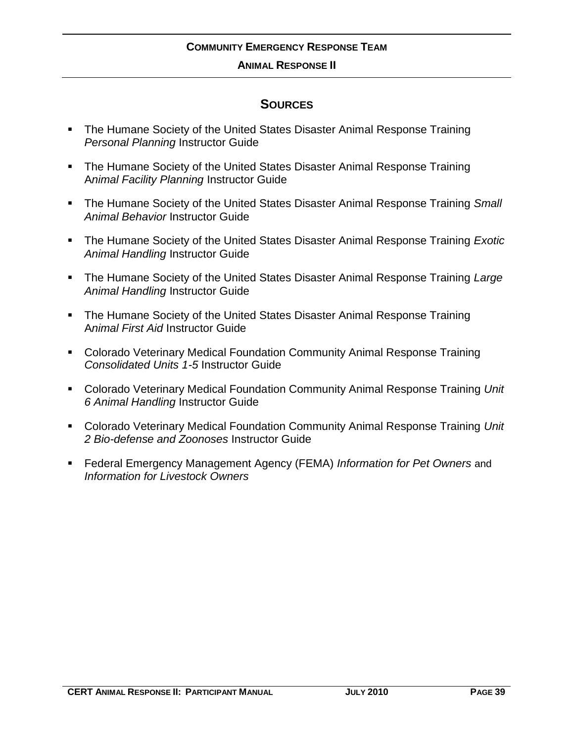#### **ANIMAL RESPONSE II**

### **SOURCES**

- The Humane Society of the United States Disaster Animal Response Training *Personal Planning* Instructor Guide
- The Humane Society of the United States Disaster Animal Response Training A*nimal Facility Planning* Instructor Guide
- The Humane Society of the United States Disaster Animal Response Training *Small Animal Behavior* Instructor Guide
- The Humane Society of the United States Disaster Animal Response Training *Exotic Animal Handling* Instructor Guide
- The Humane Society of the United States Disaster Animal Response Training *Large Animal Handling* Instructor Guide
- The Humane Society of the United States Disaster Animal Response Training A*nimal First Aid* Instructor Guide
- Colorado Veterinary Medical Foundation Community Animal Response Training *Consolidated Units 1-5* Instructor Guide
- Colorado Veterinary Medical Foundation Community Animal Response Training *Unit 6 Animal Handling* Instructor Guide
- Colorado Veterinary Medical Foundation Community Animal Response Training *Unit 2 Bio-defense and Zoonoses* Instructor Guide
- Federal Emergency Management Agency (FEMA) *Information for Pet Owners* and *Information for Livestock Owners*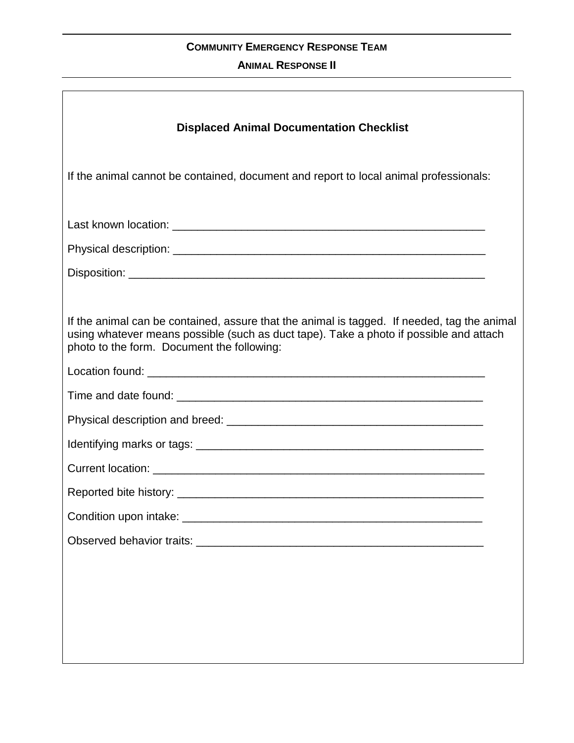#### **ANIMAL RESPONSE II**

| <b>Displaced Animal Documentation Checklist</b>                                                                                                                                                                                     |
|-------------------------------------------------------------------------------------------------------------------------------------------------------------------------------------------------------------------------------------|
| If the animal cannot be contained, document and report to local animal professionals:                                                                                                                                               |
|                                                                                                                                                                                                                                     |
|                                                                                                                                                                                                                                     |
|                                                                                                                                                                                                                                     |
|                                                                                                                                                                                                                                     |
| If the animal can be contained, assure that the animal is tagged. If needed, tag the animal<br>using whatever means possible (such as duct tape). Take a photo if possible and attach<br>photo to the form. Document the following: |
|                                                                                                                                                                                                                                     |
|                                                                                                                                                                                                                                     |
|                                                                                                                                                                                                                                     |
|                                                                                                                                                                                                                                     |
|                                                                                                                                                                                                                                     |
|                                                                                                                                                                                                                                     |
|                                                                                                                                                                                                                                     |
|                                                                                                                                                                                                                                     |
|                                                                                                                                                                                                                                     |
|                                                                                                                                                                                                                                     |
|                                                                                                                                                                                                                                     |
|                                                                                                                                                                                                                                     |
|                                                                                                                                                                                                                                     |